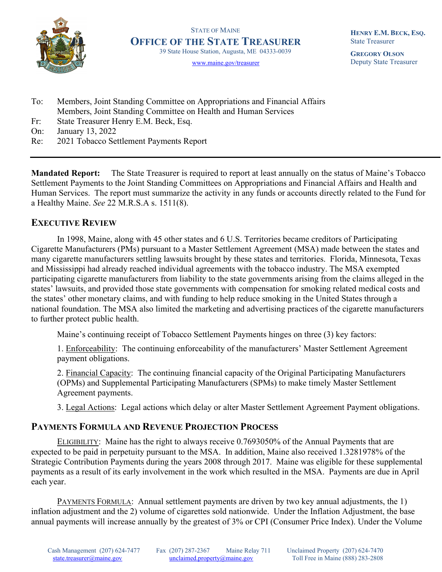

STATE OF MAINE OFFICE OF THE STATE TREASURER 39 State House Station, Augusta, ME 04333-0039

www.maine.gov/treasurer

HENRY E.M. BECK, ESQ. State Treasurer

GREGORY OLSON Deputy State Treasurer

- To: Members, Joint Standing Committee on Appropriations and Financial Affairs Members, Joint Standing Committee on Health and Human Services
- Fr: State Treasurer Henry E.M. Beck, Esq.
- On: January 13, 2022
- Re: 2021 Tobacco Settlement Payments Report

Mandated Report: The State Treasurer is required to report at least annually on the status of Maine's Tobacco Settlement Payments to the Joint Standing Committees on Appropriations and Financial Affairs and Health and Human Services. The report must summarize the activity in any funds or accounts directly related to the Fund for a Healthy Maine. See 22 M.R.S.A s. 1511(8).

## EXECUTIVE REVIEW

In 1998, Maine, along with 45 other states and 6 U.S. Territories became creditors of Participating Cigarette Manufacturers (PMs) pursuant to a Master Settlement Agreement (MSA) made between the states and many cigarette manufacturers settling lawsuits brought by these states and territories. Florida, Minnesota, Texas and Mississippi had already reached individual agreements with the tobacco industry. The MSA exempted participating cigarette manufacturers from liability to the state governments arising from the claims alleged in the states' lawsuits, and provided those state governments with compensation for smoking related medical costs and the states' other monetary claims, and with funding to help reduce smoking in the United States through a national foundation. The MSA also limited the marketing and advertising practices of the cigarette manufacturers to further protect public health.

Maine's continuing receipt of Tobacco Settlement Payments hinges on three (3) key factors:

1. Enforceability: The continuing enforceability of the manufacturers' Master Settlement Agreement payment obligations.

2. Financial Capacity: The continuing financial capacity of the Original Participating Manufacturers (OPMs) and Supplemental Participating Manufacturers (SPMs) to make timely Master Settlement Agreement payments.

3. Legal Actions: Legal actions which delay or alter Master Settlement Agreement Payment obligations.

## PAYMENTS FORMULA AND REVENUE PROJECTION PROCESS

ELIGIBILITY: Maine has the right to always receive 0.7693050% of the Annual Payments that are expected to be paid in perpetuity pursuant to the MSA. In addition, Maine also received 1.3281978% of the Strategic Contribution Payments during the years 2008 through 2017. Maine was eligible for these supplemental payments as a result of its early involvement in the work which resulted in the MSA. Payments are due in April each year.

PAYMENTS FORMULA: Annual settlement payments are driven by two key annual adjustments, the 1) inflation adjustment and the 2) volume of cigarettes sold nationwide. Under the Inflation Adjustment, the base annual payments will increase annually by the greatest of 3% or CPI (Consumer Price Index). Under the Volume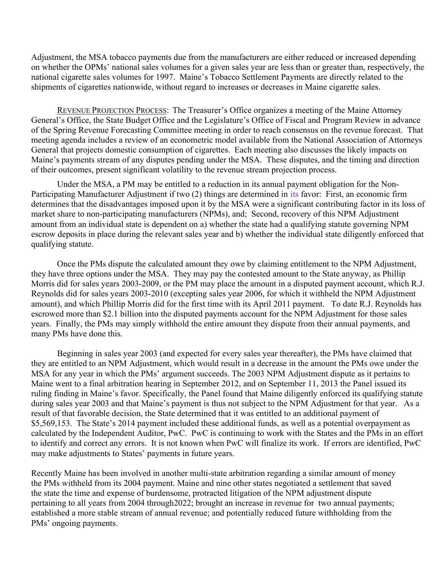Adjustment, the MSA tobacco payments due from the manufacturers are either reduced or increased depending on whether the OPMs' national sales volumes for a given sales year are less than or greater than, respectively, the national cigarette sales volumes for 1997. Maine's Tobacco Settlement Payments are directly related to the shipments of cigarettes nationwide, without regard to increases or decreases in Maine cigarette sales.

REVENUE PROJECTION PROCESS: The Treasurer's Office organizes a meeting of the Maine Attorney General's Office, the State Budget Office and the Legislature's Office of Fiscal and Program Review in advance of the Spring Revenue Forecasting Committee meeting in order to reach consensus on the revenue forecast. That meeting agenda includes a review of an econometric model available from the National Association of Attorneys General that projects domestic consumption of cigarettes. Each meeting also discusses the likely impacts on Maine's payments stream of any disputes pending under the MSA. These disputes, and the timing and direction of their outcomes, present significant volatility to the revenue stream projection process.

Under the MSA, a PM may be entitled to a reduction in its annual payment obligation for the Non-Participating Manufacturer Adjustment if two (2) things are determined in its favor: First, an economic firm determines that the disadvantages imposed upon it by the MSA were a significant contributing factor in its loss of market share to non-participating manufacturers (NPMs), and; Second, recovery of this NPM Adjustment amount from an individual state is dependent on a) whether the state had a qualifying statute governing NPM escrow deposits in place during the relevant sales year and b) whether the individual state diligently enforced that qualifying statute.

Once the PMs dispute the calculated amount they owe by claiming entitlement to the NPM Adjustment, they have three options under the MSA. They may pay the contested amount to the State anyway, as Phillip Morris did for sales years 2003-2009, or the PM may place the amount in a disputed payment account, which R.J. Reynolds did for sales years 2003-2010 (excepting sales year 2006, for which it withheld the NPM Adjustment amount), and which Phillip Morris did for the first time with its April 2011 payment. To date R.J. Reynolds has escrowed more than \$2.1 billion into the disputed payments account for the NPM Adjustment for those sales years. Finally, the PMs may simply withhold the entire amount they dispute from their annual payments, and many PMs have done this.

Beginning in sales year 2003 (and expected for every sales year thereafter), the PMs have claimed that they are entitled to an NPM Adjustment, which would result in a decrease in the amount the PMs owe under the MSA for any year in which the PMs' argument succeeds. The 2003 NPM Adjustment dispute as it pertains to Maine went to a final arbitration hearing in September 2012, and on September 11, 2013 the Panel issued its ruling finding in Maine's favor. Specifically, the Panel found that Maine diligently enforced its qualifying statute during sales year 2003 and that Maine's payment is thus not subject to the NPM Adjustment for that year. As a result of that favorable decision, the State determined that it was entitled to an additional payment of \$5,569,153. The State's 2014 payment included these additional funds, as well as a potential overpayment as calculated by the Independent Auditor, PwC. PwC is continuing to work with the States and the PMs in an effort to identify and correct any errors. It is not known when PwC will finalize its work. If errors are identified, PwC may make adjustments to States' payments in future years.

Recently Maine has been involved in another multi-state arbitration regarding a similar amount of money the PMs withheld from its 2004 payment. Maine and nine other states negotiated a settlement that saved the state the time and expense of burdensome, protracted litigation of the NPM adjustment dispute pertaining to all years from 2004 through2022; brought an increase in revenue for two annual payments; established a more stable stream of annual revenue; and potentially reduced future withholding from the PMs' ongoing payments.